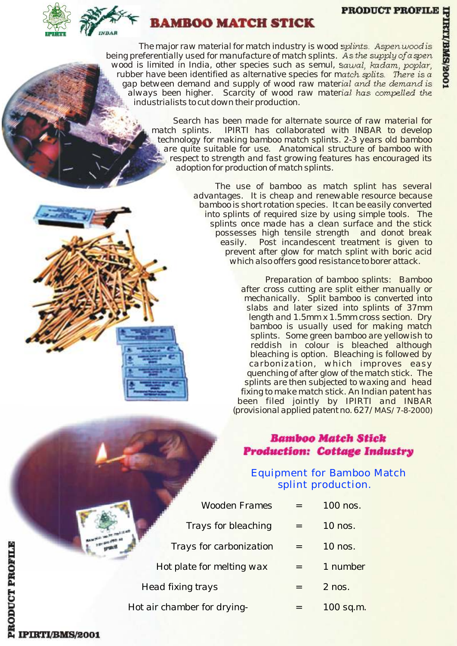#### **PRODUCT PROFILE**



# **AMROO MATCH STICK**

*The major raw material for match industry is wood splints. Aspen wood is being preferentially used for manufacture of match splints. As the supply of aspen wood is limited in India, other species such as semul, sawal, kadam, poplar, rubber have been identified as alternative species for match splits. There is a gap between demand and supply of wood raw material and the demand is always been higher. Scarcity of wood raw material has compelled the industrialists to cut down their production.*

> *Search has been made for alternate source of raw material for match splints. IPIRTI has collaborated with INBAR to develop technology for making bamboo match splints. 2-3 years old bamboo are quite suitable for use. Anatomical structure of bamboo with respect to strength and fast growing features has encouraged its adoption for production of match splints.*

> > *The use of bamboo as match splint has several advantages. It is cheap and renewable resource because bamboo is short rotation species. It can be easily converted into splints of required size by using simple tools. The splints once made has a clean surface and the stick possesses high tensile strength and donot break easily. Post incandescent treatment is given to prevent after glow for match splint with boric acid which also offers good resistance to borer attack.*

> > > *Preparation of bamboo splints: Bamboo after cross cutting are split either manually or mechanically. Split bamboo is converted into slabs and later sized into splints of 37mm length and 1.5mm x 1.5mm cross section. Dry bamboo is usually used for making match splints. Some green bamboo are yellowish to reddish in colour is bleached although bleaching is option. Bleaching is followed by carbonization, which improves easy quenching of after glow of the match stick. The splints are then subjected to waxing and head fixing to make match stick. An Indian patent has been filed jointly by IPIRTI and INBAR (provisional applied patent no. 627/MAS/7-8-2000)*

## **Bamboo Match Stick Production: Cottage Industry**

## Equipment for Bamboo Match splint production.

|                          | <b>Wooden Frames</b>        | 100 nos.  |
|--------------------------|-----------------------------|-----------|
|                          | Trays for bleaching         | 10 nos.   |
|                          | Trays for carbonization     | 10 nos.   |
|                          | Hot plate for melting wax   | 1 number  |
| <b>Head fixing trays</b> |                             | $2$ nos.  |
|                          | Hot air chamber for drying- | 100 sq.m. |